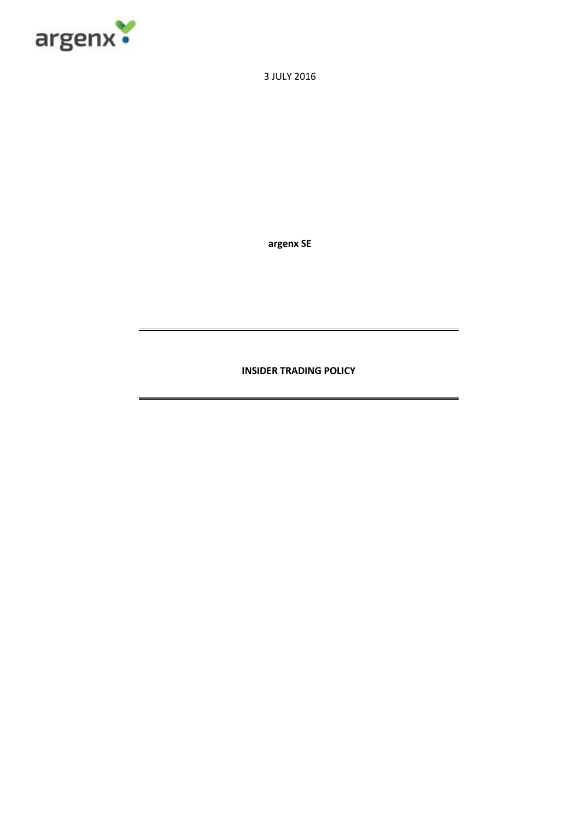

3 JULY 2016

**argenx SE**

**INSIDER TRADING POLICY**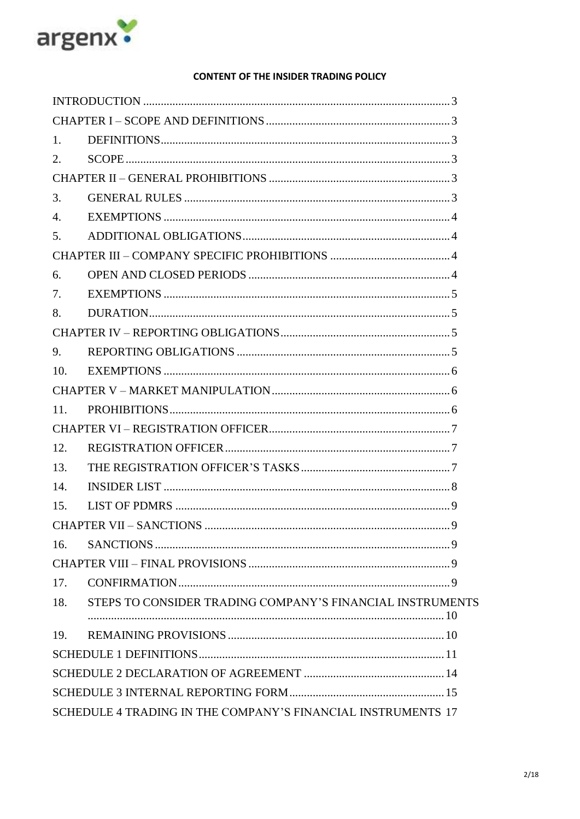

# **CONTENT OF THE INSIDER TRADING POLICY**

| $\mathbf{1}$ .                                               |                                                           |
|--------------------------------------------------------------|-----------------------------------------------------------|
|                                                              |                                                           |
|                                                              |                                                           |
| 3.                                                           |                                                           |
| $\overline{4}$ .                                             |                                                           |
| 5.                                                           |                                                           |
|                                                              |                                                           |
| 6.                                                           |                                                           |
| 7.                                                           |                                                           |
| 8.                                                           |                                                           |
|                                                              |                                                           |
|                                                              |                                                           |
| 10.                                                          |                                                           |
|                                                              |                                                           |
| 11.                                                          |                                                           |
|                                                              |                                                           |
| 12.                                                          |                                                           |
| 13.                                                          |                                                           |
| 14.                                                          |                                                           |
| 15.                                                          |                                                           |
|                                                              |                                                           |
| 16.                                                          |                                                           |
|                                                              |                                                           |
| 17.                                                          |                                                           |
| 18.                                                          | STEPS TO CONSIDER TRADING COMPANY'S FINANCIAL INSTRUMENTS |
| 19.                                                          |                                                           |
|                                                              |                                                           |
|                                                              |                                                           |
|                                                              |                                                           |
| SCHEDULE 4 TRADING IN THE COMPANY'S FINANCIAL INSTRUMENTS 17 |                                                           |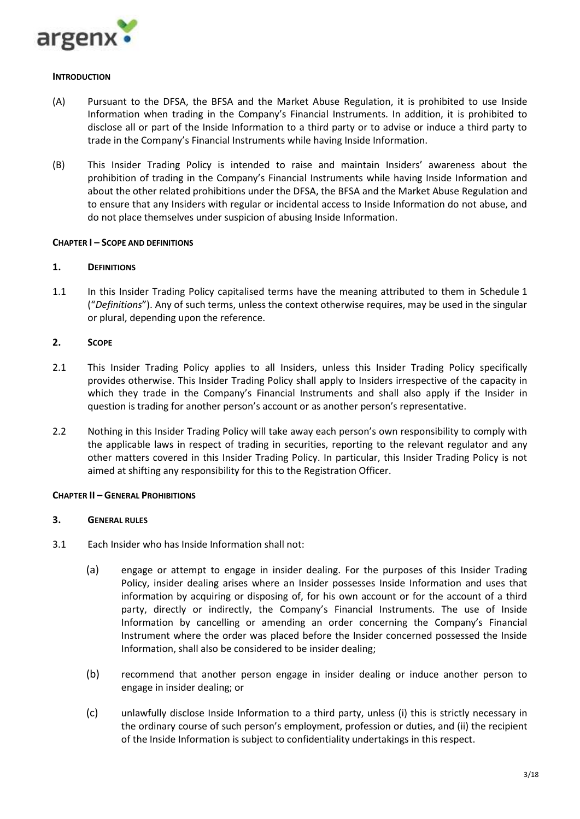

#### <span id="page-2-0"></span>**INTRODUCTION**

- (A) Pursuant to the DFSA, the BFSA and the Market Abuse Regulation, it is prohibited to use Inside Information when trading in the Company's Financial Instruments. In addition, it is prohibited to disclose all or part of the Inside Information to a third party or to advise or induce a third party to trade in the Company's Financial Instruments while having Inside Information.
- (B) This Insider Trading Policy is intended to raise and maintain Insiders' awareness about the prohibition of trading in the Company's Financial Instruments while having Inside Information and about the other related prohibitions under the DFSA, the BFSA and the Market Abuse Regulation and to ensure that any Insiders with regular or incidental access to Inside Information do not abuse, and do not place themselves under suspicion of abusing Inside Information.

### <span id="page-2-1"></span>**CHAPTER I – SCOPE AND DEFINITIONS**

### <span id="page-2-2"></span>**1. DEFINITIONS**

1.1 In this Insider Trading Policy capitalised terms have the meaning attributed to them in [Schedule](#page-10-0) 1 ("*Definitions*"). Any of such terms, unless the context otherwise requires, may be used in the singular or plural, depending upon the reference.

### <span id="page-2-3"></span>**2. SCOPE**

- 2.1 This Insider Trading Policy applies to all Insiders, unless this Insider Trading Policy specifically provides otherwise. This Insider Trading Policy shall apply to Insiders irrespective of the capacity in which they trade in the Company's Financial Instruments and shall also apply if the Insider in question is trading for another person's account or as another person's representative.
- 2.2 Nothing in this Insider Trading Policy will take away each person's own responsibility to comply with the applicable laws in respect of trading in securities, reporting to the relevant regulator and any other matters covered in this Insider Trading Policy. In particular, this Insider Trading Policy is not aimed at shifting any responsibility for this to the Registration Officer.

# <span id="page-2-4"></span>**CHAPTER II – GENERAL PROHIBITIONS**

# <span id="page-2-5"></span>**3. GENERAL RULES**

- <span id="page-2-6"></span>3.1 Each Insider who has Inside Information shall not:
	- (a) engage or attempt to engage in insider dealing. For the purposes of this Insider Trading Policy, insider dealing arises where an Insider possesses Inside Information and uses that information by acquiring or disposing of, for his own account or for the account of a third party, directly or indirectly, the Company's Financial Instruments. The use of Inside Information by cancelling or amending an order concerning the Company's Financial Instrument where the order was placed before the Insider concerned possessed the Inside Information, shall also be considered to be insider dealing;
	- (b) recommend that another person engage in insider dealing or induce another person to engage in insider dealing; or
	- (c) unlawfully disclose Inside Information to a third party, unless (i) this is strictly necessary in the ordinary course of such person's employment, profession or duties, and (ii) the recipient of the Inside Information is subject to confidentiality undertakings in this respect.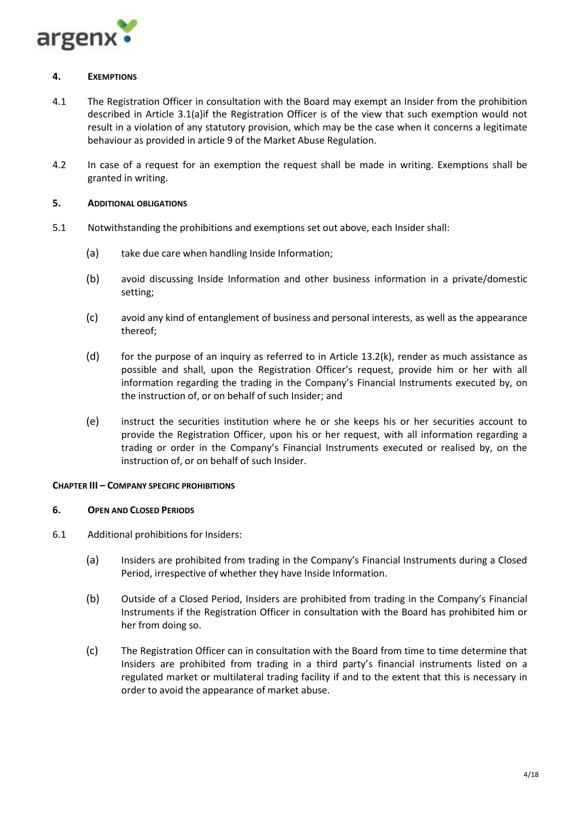

# <span id="page-3-0"></span>**4. EXEMPTIONS**

- <span id="page-3-7"></span>4.1 The Registration Officer in consultation with the Board may exempt an Insider from the prohibition described in Article [3.1\(a\)if](#page-2-6) the Registration Officer is of the view that such exemption would not result in a violation of any statutory provision, which may be the case when it concerns a legitimate behaviour as provided in article 9 of the Market Abuse Regulation.
- 4.2 In case of a request for an exemption the request shall be made in writing. Exemptions shall be granted in writing.

### <span id="page-3-1"></span>**5. ADDITIONAL OBLIGATIONS**

- 5.1 Notwithstanding the prohibitions and exemptions set out above, each Insider shall:
	- (a) take due care when handling Inside Information;
	- (b) avoid discussing Inside Information and other business information in a private/domestic setting;
	- (c) avoid any kind of entanglement of business and personal interests, as well as the appearance thereof;
	- (d) for the purpose of an inquiry as referred to in Article [13.2\(k\),](#page-7-1) render as much assistance as possible and shall, upon the Registration Officer's request, provide him or her with all information regarding the trading in the Company's Financial Instruments executed by, on the instruction of, or on behalf of such Insider; and
	- (e) instruct the securities institution where he or she keeps his or her securities account to provide the Registration Officer, upon his or her request, with all information regarding a trading or order in the Company's Financial Instruments executed or realised by, on the instruction of, or on behalf of such Insider.

#### <span id="page-3-2"></span>**CHAPTER III – COMPANY SPECIFIC PROHIBITIONS**

#### <span id="page-3-3"></span>**6. OPEN AND CLOSED PERIODS**

- <span id="page-3-6"></span><span id="page-3-5"></span><span id="page-3-4"></span>6.1 Additional prohibitions for Insiders:
	- (a) Insiders are prohibited from trading in the Company's Financial Instruments during a Closed Period, irrespective of whether they have Inside Information.
	- (b) Outside of a Closed Period, Insiders are prohibited from trading in the Company's Financial Instruments if the Registration Officer in consultation with the Board has prohibited him or her from doing so.
	- (c) The Registration Officer can in consultation with the Board from time to time determine that Insiders are prohibited from trading in a third party's financial instruments listed on a regulated market or multilateral trading facility if and to the extent that this is necessary in order to avoid the appearance of market abuse.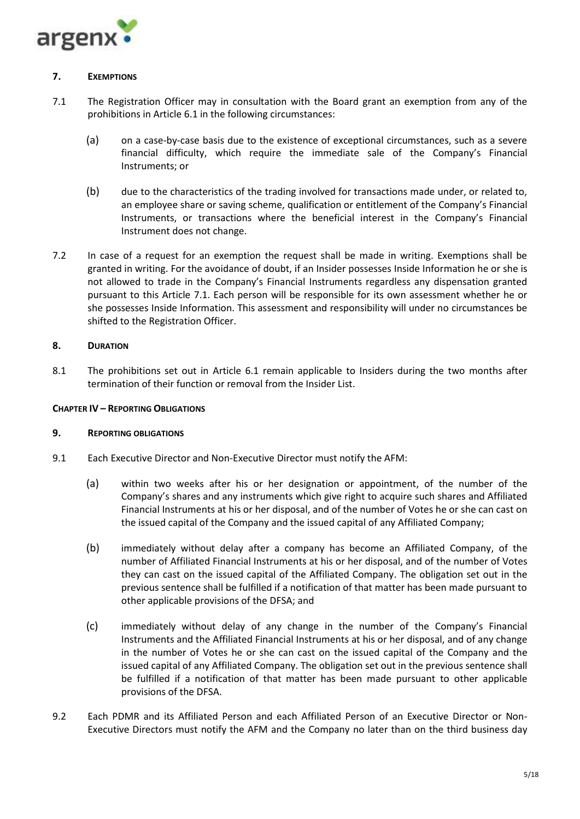

# <span id="page-4-0"></span>**7. EXEMPTIONS**

- 7.1 The Registration Officer may in consultation with the Board grant an exemption from any of the prohibitions in Article [6.1](#page-3-4) in the following circumstances:
	- (a) on a case-by-case basis due to the existence of exceptional circumstances, such as a severe financial difficulty, which require the immediate sale of the Company's Financial Instruments; or
	- (b) due to the characteristics of the trading involved for transactions made under, or related to, an employee share or saving scheme, qualification or entitlement of the Company's Financial Instruments, or transactions where the beneficial interest in the Company's Financial Instrument does not change.
- <span id="page-4-7"></span>7.2 In case of a request for an exemption the request shall be made in writing. Exemptions shall be granted in writing. For the avoidance of doubt, if an Insider possesses Inside Information he or she is not allowed to trade in the Company's Financial Instruments regardless any dispensation granted pursuant to this Article 7.1. Each person will be responsible for its own assessment whether he or she possesses Inside Information. This assessment and responsibility will under no circumstances be shifted to the Registration Officer.

## <span id="page-4-1"></span>**8. DURATION**

8.1 The prohibitions set out in Article [6.1](#page-3-4) remain applicable to Insiders during the two months after termination of their function or removal from the Insider List.

# <span id="page-4-2"></span>**CHAPTER IV – REPORTING OBLIGATIONS**

#### <span id="page-4-3"></span>**9. REPORTING OBLIGATIONS**

- <span id="page-4-4"></span>9.1 Each Executive Director and Non-Executive Director must notify the AFM:
	- (a) within two weeks after his or her designation or appointment, of the number of the Company's shares and any instruments which give right to acquire such shares and Affiliated Financial Instruments at his or her disposal, and of the number of Votes he or she can cast on the issued capital of the Company and the issued capital of any Affiliated Company;
	- (b) immediately without delay after a company has become an Affiliated Company, of the number of Affiliated Financial Instruments at his or her disposal, and of the number of Votes they can cast on the issued capital of the Affiliated Company. The obligation set out in the previous sentence shall be fulfilled if a notification of that matter has been made pursuant to other applicable provisions of the DFSA; and
	- (c) immediately without delay of any change in the number of the Company's Financial Instruments and the Affiliated Financial Instruments at his or her disposal, and of any change in the number of Votes he or she can cast on the issued capital of the Company and the issued capital of any Affiliated Company. The obligation set out in the previous sentence shall be fulfilled if a notification of that matter has been made pursuant to other applicable provisions of the DFSA.
- <span id="page-4-6"></span><span id="page-4-5"></span>9.2 Each PDMR and its Affiliated Person and each Affiliated Person of an Executive Director or Non-Executive Directors must notify the AFM and the Company no later than on the third business day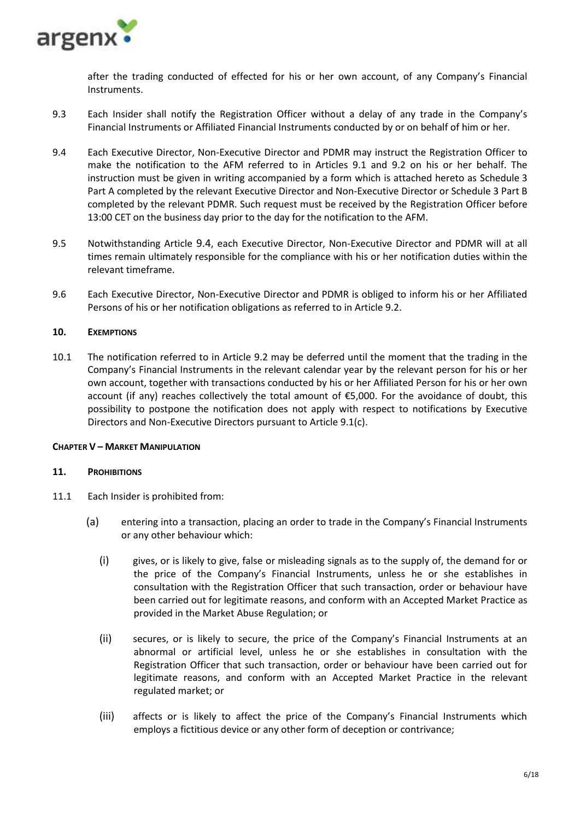

after the trading conducted of effected for his or her own account, of any Company's Financial Instruments.

- 9.3 Each Insider shall notify the Registration Officer without a delay of any trade in the Company's Financial Instruments or Affiliated Financial Instruments conducted by or on behalf of him or her.
- <span id="page-5-4"></span>9.4 Each Executive Director, Non-Executive Director and PDMR may instruct the Registration Officer to make the notification to the AFM referred to in Articles [9.1](#page-4-4) and [9.2](#page-4-5) on his or her behalf. The instruction must be given in writing accompanied by a form which is attached hereto as [Schedule](#page-14-0) 3 [Part](#page-14-1) A completed by the relevant Executive Director and Non-Executive Director or [Schedule](#page-14-0) 3 [Part](#page-14-2) B completed by the relevant PDMR. Such request must be received by the Registration Officer before 13:00 CET on the business day prior to the day for the notification to the AFM.
- 9.5 Notwithstanding Article 9.4, each Executive Director, Non-Executive Director and PDMR will at all times remain ultimately responsible for the compliance with his or her notification duties within the relevant timeframe.
- 9.6 Each Executive Director, Non-Executive Director and PDMR is obliged to inform his or her Affiliated Persons of his or her notification obligations as referred to in Article [9.2.](#page-4-5)

# <span id="page-5-0"></span>**10. EXEMPTIONS**

10.1 The notification referred to in Article [9.2](#page-4-5) may be deferred until the moment that the trading in the Company's Financial Instruments in the relevant calendar year by the relevant person for his or her own account, together with transactions conducted by his or her Affiliated Person for his or her own account (if any) reaches collectively the total amount of €5,000. For the avoidance of doubt, this possibility to postpone the notification does not apply with respect to notifications by Executive Directors and Non-Executive Directors pursuant to Articl[e 9.1\(c\).](#page-4-6)

#### <span id="page-5-1"></span>**CHAPTER V – MARKET MANIPULATION**

#### <span id="page-5-2"></span>**11. PROHIBITIONS**

- <span id="page-5-3"></span>11.1 Each Insider is prohibited from:
	- (a) entering into a transaction, placing an order to trade in the Company's Financial Instruments or any other behaviour which:
		- (i) gives, or is likely to give, false or misleading signals as to the supply of, the demand for or the price of the Company's Financial Instruments, unless he or she establishes in consultation with the Registration Officer that such transaction, order or behaviour have been carried out for legitimate reasons, and conform with an Accepted Market Practice as provided in the Market Abuse Regulation; or
		- (ii) secures, or is likely to secure, the price of the Company's Financial Instruments at an abnormal or artificial level, unless he or she establishes in consultation with the Registration Officer that such transaction, order or behaviour have been carried out for legitimate reasons, and conform with an Accepted Market Practice in the relevant regulated market; or
		- (iii) affects or is likely to affect the price of the Company's Financial Instruments which employs a fictitious device or any other form of deception or contrivance;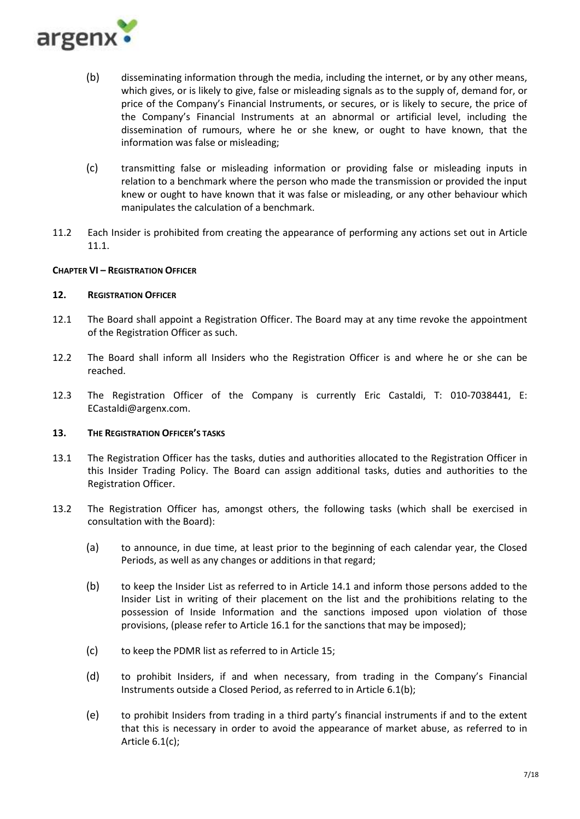

- (b) disseminating information through the media, including the internet, or by any other means, which gives, or is likely to give, false or misleading signals as to the supply of, demand for, or price of the Company's Financial Instruments, or secures, or is likely to secure, the price of the Company's Financial Instruments at an abnormal or artificial level, including the dissemination of rumours, where he or she knew, or ought to have known, that the information was false or misleading;
- (c) transmitting false or misleading information or providing false or misleading inputs in relation to a benchmark where the person who made the transmission or provided the input knew or ought to have known that it was false or misleading, or any other behaviour which manipulates the calculation of a benchmark.
- 11.2 Each Insider is prohibited from creating the appearance of performing any actions set out in Article [11.1.](#page-5-3)

### <span id="page-6-0"></span>**CHAPTER VI – REGISTRATION OFFICER**

### <span id="page-6-1"></span>**12. REGISTRATION OFFICER**

- 12.1 The Board shall appoint a Registration Officer. The Board may at any time revoke the appointment of the Registration Officer as such.
- 12.2 The Board shall inform all Insiders who the Registration Officer is and where he or she can be reached.
- 12.3 The Registration Officer of the Company is currently Eric Castaldi, T: 010-7038441, E: ECastaldi@argenx.com.

# <span id="page-6-2"></span>**13. THE REGISTRATION OFFICER'S TASKS**

- 13.1 The Registration Officer has the tasks, duties and authorities allocated to the Registration Officer in this Insider Trading Policy. The Board can assign additional tasks, duties and authorities to the Registration Officer.
- 13.2 The Registration Officer has, amongst others, the following tasks (which shall be exercised in consultation with the Board):
	- (a) to announce, in due time, at least prior to the beginning of each calendar year, the Closed Periods, as well as any changes or additions in that regard;
	- (b) to keep the Insider List as referred to in Article [14.1](#page-7-2) and inform those persons added to the Insider List in writing of their placement on the list and the prohibitions relating to the possession of Inside Information and the sanctions imposed upon violation of those provisions, (please refer to Article 16.1 for the sanctions that may be imposed);
	- (c) to keep the PDMR list as referred to in Article 15;
	- (d) to prohibit Insiders, if and when necessary, from trading in the Company's Financial Instruments outside a Closed Period, as referred to in Article [6.1\(b\);](#page-3-5)
	- (e) to prohibit Insiders from trading in a third party's financial instruments if and to the extent that this is necessary in order to avoid the appearance of market abuse, as referred to in Article [6.1\(c\);](#page-3-6)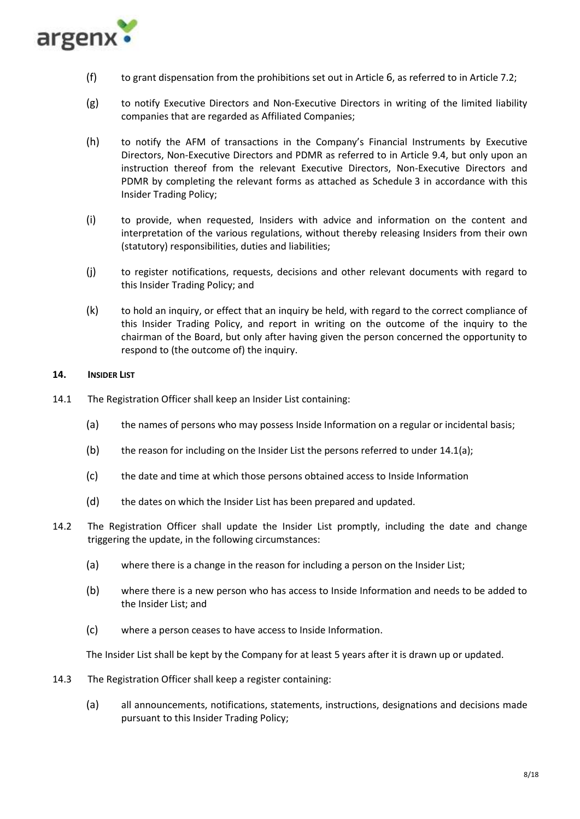

- (f) to grant dispensation from the prohibitions set out in Article [6](#page-3-3), as referred to in Article [7.2;](#page-4-7)
- (g) to notify Executive Directors and Non-Executive Directors in writing of the limited liability companies that are regarded as Affiliated Companies;
- (h) to notify the AFM of transactions in the Company's Financial Instruments by Executive Directors, Non-Executive Directors and PDMR as referred to in Article [9.4,](#page-5-4) but only upon an instruction thereof from the relevant Executive Directors, Non-Executive Directors and PDMR by completing the relevant forms as attached as [Schedule](#page-14-0) 3 in accordance with this Insider Trading Policy;
- (i) to provide, when requested, Insiders with advice and information on the content and interpretation of the various regulations, without thereby releasing Insiders from their own (statutory) responsibilities, duties and liabilities;
- (j) to register notifications, requests, decisions and other relevant documents with regard to this Insider Trading Policy; and
- <span id="page-7-1"></span>(k) to hold an inquiry, or effect that an inquiry be held, with regard to the correct compliance of this Insider Trading Policy, and report in writing on the outcome of the inquiry to the chairman of the Board, but only after having given the person concerned the opportunity to respond to (the outcome of) the inquiry.

# <span id="page-7-0"></span>**14. INSIDER LIST**

- <span id="page-7-3"></span><span id="page-7-2"></span>14.1 The Registration Officer shall keep an Insider List containing:
	- (a) the names of persons who may possess Inside Information on a regular or incidental basis;
	- (b) the reason for including on the Insider List the persons referred to under  $14.1(a)$ ;
	- (c) the date and time at which those persons obtained access to Inside Information
	- (d) the dates on which the Insider List has been prepared and updated.
- 14.2 The Registration Officer shall update the Insider List promptly, including the date and change triggering the update, in the following circumstances:
	- (a) where there is a change in the reason for including a person on the Insider List;
	- (b) where there is a new person who has access to Inside Information and needs to be added to the Insider List; and
	- (c) where a person ceases to have access to Inside Information.

The Insider List shall be kept by the Company for at least 5 years after it is drawn up or updated.

- <span id="page-7-4"></span>14.3 The Registration Officer shall keep a register containing:
	- (a) all announcements, notifications, statements, instructions, designations and decisions made pursuant to this Insider Trading Policy;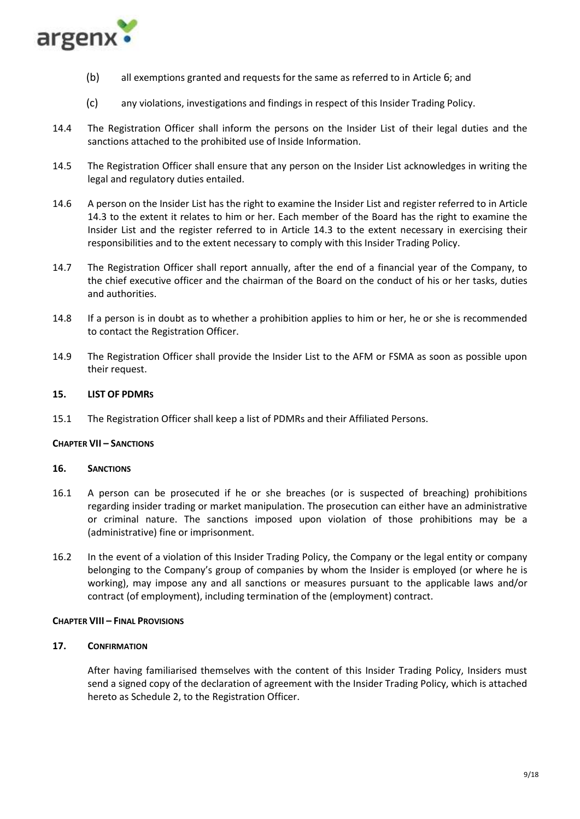

- (b) all exemptions granted and requests for the same as referred to in Article [6](#page-3-3); and
- (c) any violations, investigations and findings in respect of this Insider Trading Policy.
- 14.4 The Registration Officer shall inform the persons on the Insider List of their legal duties and the sanctions attached to the prohibited use of Inside Information.
- 14.5 The Registration Officer shall ensure that any person on the Insider List acknowledges in writing the legal and regulatory duties entailed.
- 14.6 A person on the Insider List has the right to examine the Insider List and register referred to in Article [14.3](#page-7-4) to the extent it relates to him or her. Each member of the Board has the right to examine the Insider List and the register referred to in Article [14.3](#page-7-4) to the extent necessary in exercising their responsibilities and to the extent necessary to comply with this Insider Trading Policy.
- 14.7 The Registration Officer shall report annually, after the end of a financial year of the Company, to the chief executive officer and the chairman of the Board on the conduct of his or her tasks, duties and authorities.
- 14.8 If a person is in doubt as to whether a prohibition applies to him or her, he or she is recommended to contact the Registration Officer.
- 14.9 The Registration Officer shall provide the Insider List to the AFM or FSMA as soon as possible upon their request.

# <span id="page-8-0"></span>**15. LIST OF PDMRS**

15.1 The Registration Officer shall keep a list of PDMRs and their Affiliated Persons.

# <span id="page-8-1"></span>**CHAPTER VII – SANCTIONS**

# <span id="page-8-2"></span>**16. SANCTIONS**

- 16.1 A person can be prosecuted if he or she breaches (or is suspected of breaching) prohibitions regarding insider trading or market manipulation. The prosecution can either have an administrative or criminal nature. The sanctions imposed upon violation of those prohibitions may be a (administrative) fine or imprisonment.
- 16.2 In the event of a violation of this Insider Trading Policy, the Company or the legal entity or company belonging to the Company's group of companies by whom the Insider is employed (or where he is working), may impose any and all sanctions or measures pursuant to the applicable laws and/or contract (of employment), including termination of the (employment) contract.

#### <span id="page-8-3"></span>**CHAPTER VIII – FINAL PROVISIONS**

# <span id="page-8-4"></span>**17. CONFIRMATION**

After having familiarised themselves with the content of this Insider Trading Policy, Insiders must send a signed copy of the declaration of agreement with the Insider Trading Policy, which is attached hereto a[s Schedule](#page-13-0) 2, to the Registration Officer.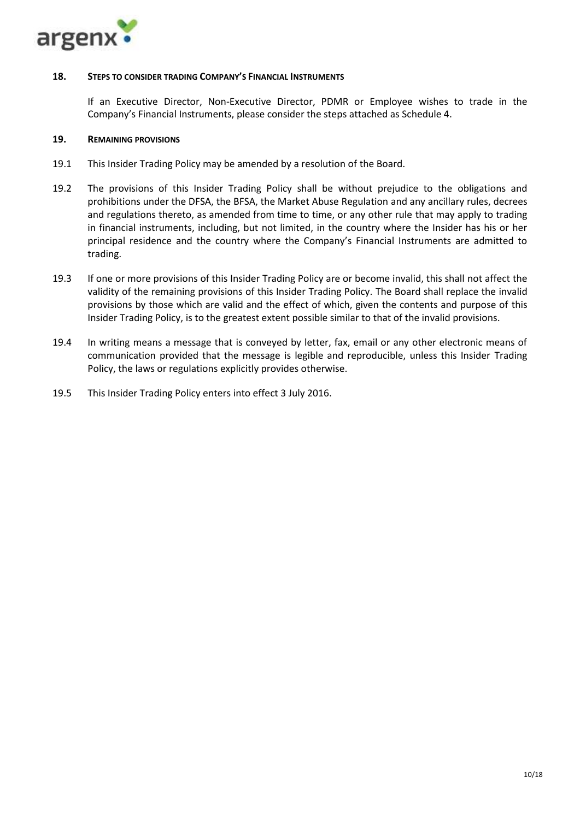

#### <span id="page-9-0"></span>**18. STEPS TO CONSIDER TRADING COMPANY'S FINANCIAL INSTRUMENTS**

If an Executive Director, Non-Executive Director, PDMR or Employee wishes to trade in the Company's Financial Instruments, please consider the steps attached a[s Schedule](#page-16-0) 4.

### <span id="page-9-1"></span>**19. REMAINING PROVISIONS**

- 19.1 This Insider Trading Policy may be amended by a resolution of the Board.
- 19.2 The provisions of this Insider Trading Policy shall be without prejudice to the obligations and prohibitions under the DFSA, the BFSA, the Market Abuse Regulation and any ancillary rules, decrees and regulations thereto, as amended from time to time, or any other rule that may apply to trading in financial instruments, including, but not limited, in the country where the Insider has his or her principal residence and the country where the Company's Financial Instruments are admitted to trading.
- 19.3 If one or more provisions of this Insider Trading Policy are or become invalid, this shall not affect the validity of the remaining provisions of this Insider Trading Policy. The Board shall replace the invalid provisions by those which are valid and the effect of which, given the contents and purpose of this Insider Trading Policy, is to the greatest extent possible similar to that of the invalid provisions.
- 19.4 In writing means a message that is conveyed by letter, fax, email or any other electronic means of communication provided that the message is legible and reproducible, unless this Insider Trading Policy, the laws or regulations explicitly provides otherwise.
- 19.5 This Insider Trading Policy enters into effect 3 July 2016.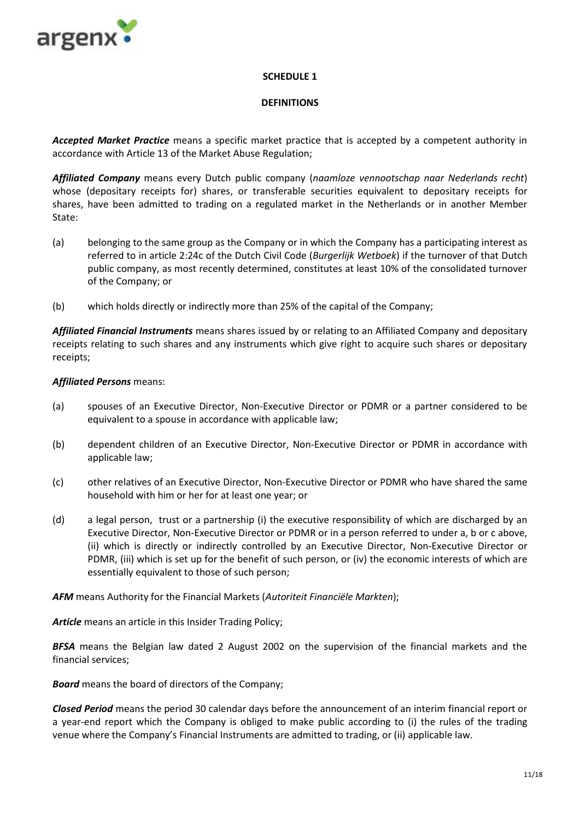

# **DEFINITIONS**

<span id="page-10-0"></span>*Accepted Market Practice* means a specific market practice that is accepted by a competent authority in accordance with Article 13 of the Market Abuse Regulation;

*Affiliated Company* means every Dutch public company (*naamloze vennootschap naar Nederlands recht*) whose (depositary receipts for) shares, or transferable securities equivalent to depositary receipts for shares, have been admitted to trading on a regulated market in the Netherlands or in another Member State:

- (a) belonging to the same group as the Company or in which the Company has a participating interest as referred to in article 2:24c of the Dutch Civil Code (*Burgerlijk Wetboek*) if the turnover of that Dutch public company, as most recently determined, constitutes at least 10% of the consolidated turnover of the Company; or
- (b) which holds directly or indirectly more than 25% of the capital of the Company;

*Affiliated Financial Instruments* means shares issued by or relating to an Affiliated Company and depositary receipts relating to such shares and any instruments which give right to acquire such shares or depositary receipts;

### *Affiliated Persons* means:

- (a) spouses of an Executive Director, Non-Executive Director or PDMR or a partner considered to be equivalent to a spouse in accordance with applicable law;
- (b) dependent children of an Executive Director, Non-Executive Director or PDMR in accordance with applicable law;
- (c) other relatives of an Executive Director, Non-Executive Director or PDMR who have shared the same household with him or her for at least one year; or
- (d) a legal person, trust or a partnership (i) the executive responsibility of which are discharged by an Executive Director, Non-Executive Director or PDMR or in a person referred to under a, b or c above, (ii) which is directly or indirectly controlled by an Executive Director, Non-Executive Director or PDMR, (iii) which is set up for the benefit of such person, or (iv) the economic interests of which are essentially equivalent to those of such person;

*AFM* means Authority for the Financial Markets (*Autoriteit Financiële Markten*);

*Article* means an article in this Insider Trading Policy;

*BFSA* means the Belgian law dated 2 August 2002 on the supervision of the financial markets and the financial services;

*Board* means the board of directors of the Company;

*Closed Period* means the period 30 calendar days before the announcement of an interim financial report or a year-end report which the Company is obliged to make public according to (i) the rules of the trading venue where the Company's Financial Instruments are admitted to trading, or (ii) applicable law.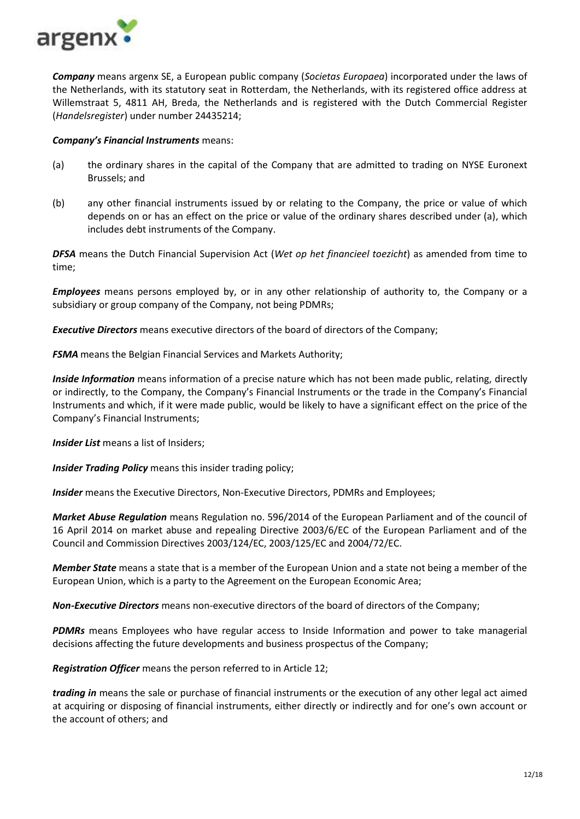

*Company* means argenx SE, a European public company (*Societas Europaea*) incorporated under the laws of the Netherlands, with its statutory seat in Rotterdam, the Netherlands, with its registered office address at Willemstraat 5, 4811 AH, Breda, the Netherlands and is registered with the Dutch Commercial Register (*Handelsregister*) under number 24435214;

# *Company's Financial Instruments* means:

- (a) the ordinary shares in the capital of the Company that are admitted to trading on NYSE Euronext Brussels; and
- (b) any other financial instruments issued by or relating to the Company, the price or value of which depends on or has an effect on the price or value of the ordinary shares described under (a), which includes debt instruments of the Company.

*DFSA* means the Dutch Financial Supervision Act (*Wet op het financieel toezicht*) as amended from time to time;

*Employees* means persons employed by, or in any other relationship of authority to, the Company or a subsidiary or group company of the Company, not being PDMRs;

*Executive Directors* means executive directors of the board of directors of the Company;

**FSMA** means the Belgian Financial Services and Markets Authority;

*Inside Information* means information of a precise nature which has not been made public, relating, directly or indirectly, to the Company, the Company's Financial Instruments or the trade in the Company's Financial Instruments and which, if it were made public, would be likely to have a significant effect on the price of the Company's Financial Instruments;

*Insider List* means a list of Insiders;

*Insider Trading Policy* means this insider trading policy;

*Insider* means the Executive Directors, Non-Executive Directors, PDMRs and Employees;

*Market Abuse Regulation* means Regulation no. 596/2014 of the European Parliament and of the council of 16 April 2014 on market abuse and repealing Directive 2003/6/EC of the European Parliament and of the Council and Commission Directives 2003/124/EC, 2003/125/EC and 2004/72/EC.

*Member State* means a state that is a member of the European Union and a state not being a member of the European Union, which is a party to the Agreement on the European Economic Area;

*Non-Executive Directors* means non-executive directors of the board of directors of the Company;

*PDMRs* means Employees who have regular access to Inside Information and power to take managerial decisions affecting the future developments and business prospectus of the Company;

*Registration Officer* means the person referred to in Articl[e 12;](#page-6-1)

*trading in* means the sale or purchase of financial instruments or the execution of any other legal act aimed at acquiring or disposing of financial instruments, either directly or indirectly and for one's own account or the account of others; and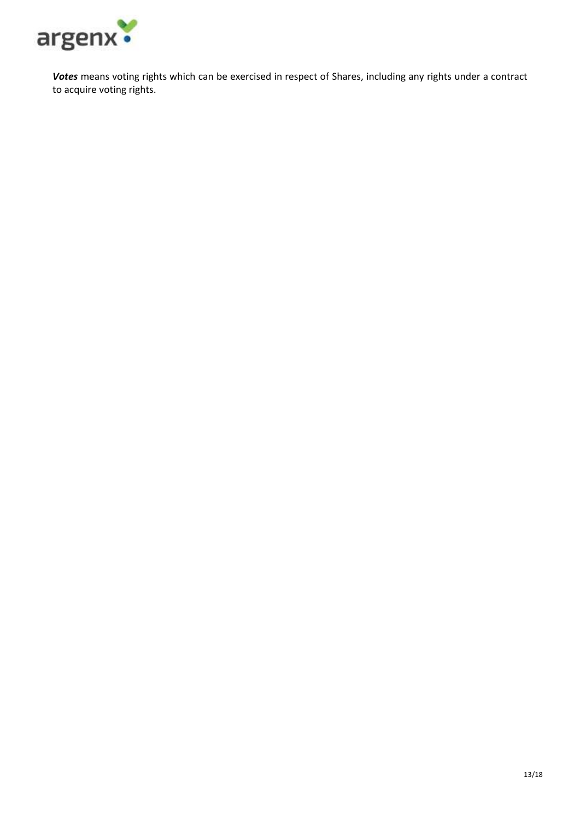

*Votes* means voting rights which can be exercised in respect of Shares, including any rights under a contract to acquire voting rights.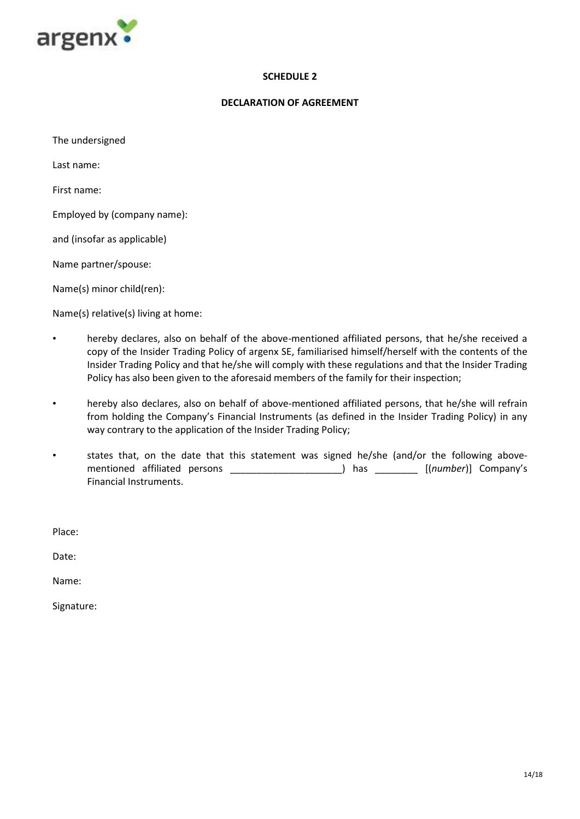

## **DECLARATION OF AGREEMENT**

<span id="page-13-0"></span>The undersigned

Last name:

First name:

Employed by (company name):

and (insofar as applicable)

Name partner/spouse:

Name(s) minor child(ren):

Name(s) relative(s) living at home:

- hereby declares, also on behalf of the above-mentioned affiliated persons, that he/she received a copy of the Insider Trading Policy of argenx SE, familiarised himself/herself with the contents of the Insider Trading Policy and that he/she will comply with these regulations and that the Insider Trading Policy has also been given to the aforesaid members of the family for their inspection;
- hereby also declares, also on behalf of above-mentioned affiliated persons, that he/she will refrain from holding the Company's Financial Instruments (as defined in the Insider Trading Policy) in any way contrary to the application of the Insider Trading Policy;
- states that, on the date that this statement was signed he/she (and/or the following abovementioned affiliated persons \_\_\_\_\_\_\_\_\_\_\_\_\_\_\_\_\_\_\_\_\_) has \_\_\_\_\_\_\_\_ [(*number*)] Company's Financial Instruments.

Place:

Date:

Name:

Signature: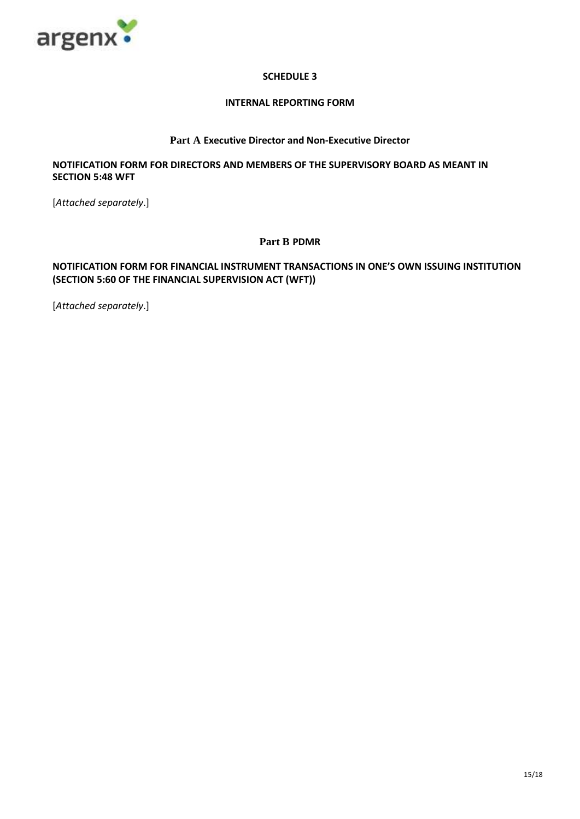

# **INTERNAL REPORTING FORM**

# **Part A Executive Director and Non-Executive Director**

# <span id="page-14-1"></span><span id="page-14-0"></span>**NOTIFICATION FORM FOR DIRECTORS AND MEMBERS OF THE SUPERVISORY BOARD AS MEANT IN SECTION 5:48 WFT**

[*Attached separately*.]

**Part B PDMR**

# <span id="page-14-2"></span>**NOTIFICATION FORM FOR FINANCIAL INSTRUMENT TRANSACTIONS IN ONE'S OWN ISSUING INSTITUTION (SECTION 5:60 OF THE FINANCIAL SUPERVISION ACT (WFT))**

[*Attached separately*.]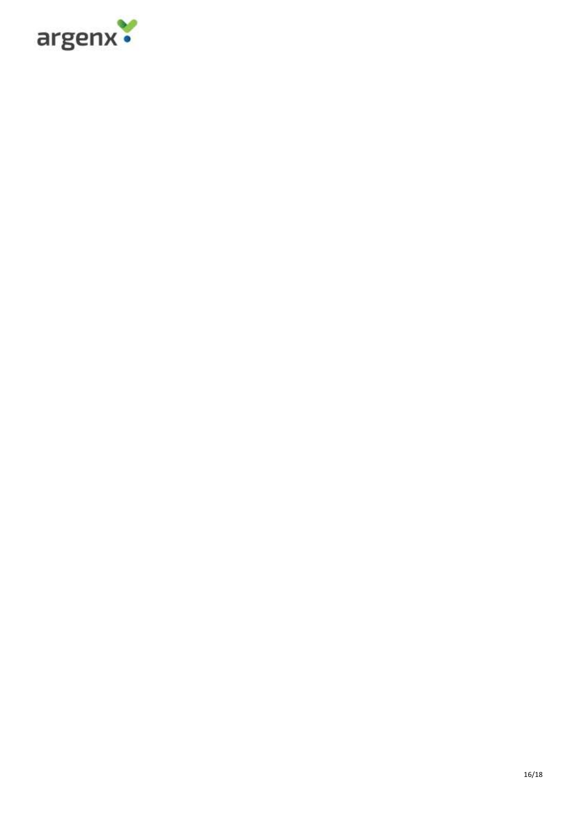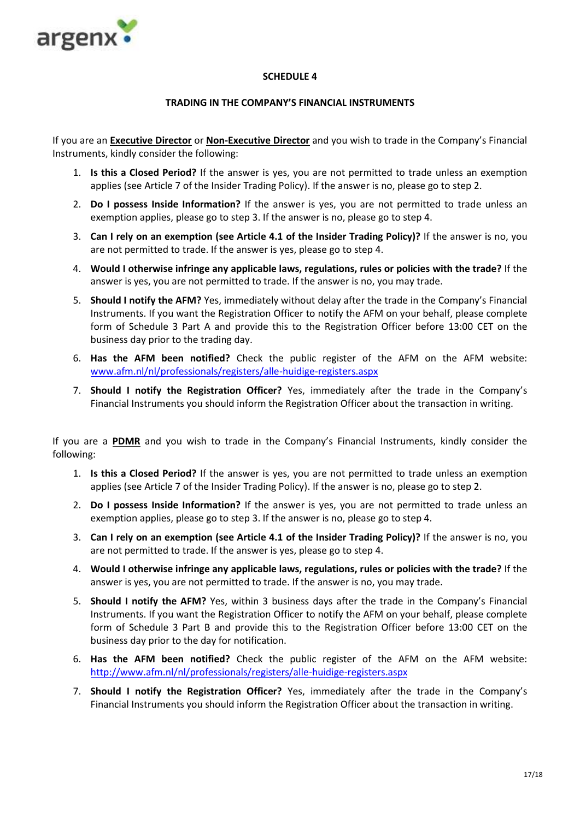

### **TRADING IN THE COMPANY'S FINANCIAL INSTRUMENTS**

<span id="page-16-0"></span>If you are an **Executive Director** or **Non-Executive Director** and you wish to trade in the Company's Financial Instruments, kindly consider the following:

- 1. **Is this a Closed Period?** If the answer is yes, you are not permitted to trade unless an exemption applies (see Article 7 of the Insider Trading Policy). If the answer is no, please go to step 2.
- 2. **Do I possess Inside Information?** If the answer is yes, you are not permitted to trade unless an exemption applies, please go to step 3. If the answer is no, please go to ste[p 4.](#page-16-1)
- 3. **Can I rely on an exemption (see Article [4.1](#page-3-7) of the Insider Trading Policy)?** If the answer is no, you are not permitted to trade. If the answer is yes, please go to step 4.
- <span id="page-16-1"></span>4. **Would I otherwise infringe any applicable laws, regulations, rules or policies with the trade?** If the answer is yes, you are not permitted to trade. If the answer is no, you may trade.
- 5. **Should I notify the AFM?** Yes, immediately without delay after the trade in the Company's Financial Instruments. If you want the Registration Officer to notify the AFM on your behalf, please complete form of Schedule 3 Part A and provide this to the Registration Officer before 13:00 CET on the business day prior to the trading day.
- 6. **Has the AFM been notified?** Check the public register of the AFM on the AFM website: [www.afm.nl/nl/professionals/registers/alle-huidige-registers.aspx](http://www.afm.nl/nl/professionals/registers/alle-huidige-registers.aspx)
- 7. **Should I notify the Registration Officer?** Yes, immediately after the trade in the Company's Financial Instruments you should inform the Registration Officer about the transaction in writing.

If you are a **PDMR** and you wish to trade in the Company's Financial Instruments, kindly consider the following:

- 1. **Is this a Closed Period?** If the answer is yes, you are not permitted to trade unless an exemption applies (see Article 7 of the Insider Trading Policy). If the answer is no, please go to step 2.
- 2. **Do I possess Inside Information?** If the answer is yes, you are not permitted to trade unless an exemption applies, please go to step 3. If the answer is no, please go to step 4.
- 3. **Can I rely on an exemption (see Article [4.1](#page-3-7) of the Insider Trading Policy)?** If the answer is no, you are not permitted to trade. If the answer is yes, please go to step 4.
- 4. **Would I otherwise infringe any applicable laws, regulations, rules or policies with the trade?** If the answer is yes, you are not permitted to trade. If the answer is no, you may trade.
- 5. **Should I notify the AFM?** Yes, within 3 business days after the trade in the Company's Financial Instruments. If you want the Registration Officer to notify the AFM on your behalf, please complete form of Schedule 3 Part B and provide this to the Registration Officer before 13:00 CET on the business day prior to the day for notification.
- 6. **Has the AFM been notified?** Check the public register of the AFM on the AFM website: <http://www.afm.nl/nl/professionals/registers/alle-huidige-registers.aspx>
- 7. **Should I notify the Registration Officer?** Yes, immediately after the trade in the Company's Financial Instruments you should inform the Registration Officer about the transaction in writing.